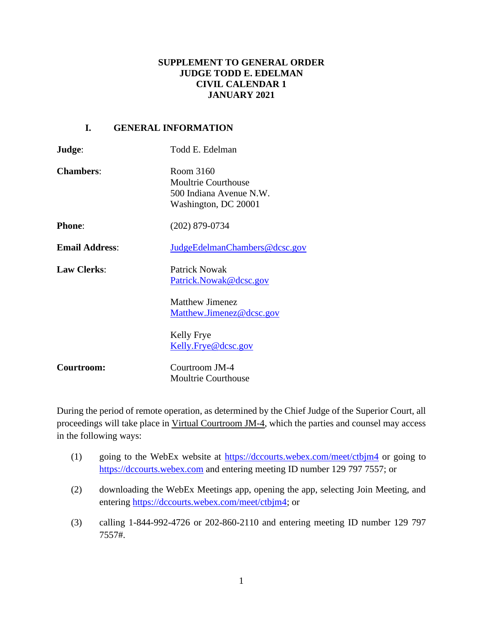# **SUPPLEMENT TO GENERAL ORDER JUDGE TODD E. EDELMAN CIVIL CALENDAR 1 JANUARY 2021**

# **I. GENERAL INFORMATION**

| Judge:                | Todd E. Edelman                                                                            |
|-----------------------|--------------------------------------------------------------------------------------------|
| <b>Chambers:</b>      | Room 3160<br><b>Moultrie Courthouse</b><br>500 Indiana Avenue N.W.<br>Washington, DC 20001 |
| <b>Phone:</b>         | $(202)$ 879-0734                                                                           |
| <b>Email Address:</b> | JudgeEdelmanChambers@dcsc.gov                                                              |
| <b>Law Clerks:</b>    | <b>Patrick Nowak</b><br>Patrick.Nowak@dcsc.gov                                             |
|                       | <b>Matthew Jimenez</b><br>Matthew.Jimenez@dcsc.gov                                         |
|                       | Kelly Frye<br>Kelly.Frye@dcsc.gov                                                          |
| Courtroom:            | Courtroom JM-4<br><b>Moultrie Courthouse</b>                                               |

During the period of remote operation, as determined by the Chief Judge of the Superior Court, all proceedings will take place in Virtual Courtroom JM-4, which the parties and counsel may access in the following ways:

- (1) going to the WebEx website at<https://dccourts.webex.com/meet/ctbjm4> or going to [https://dccourts.webex.com](https://dccourts.webex.com/) and entering meeting ID number 129 797 7557; or
- (2) downloading the WebEx Meetings app, opening the app, selecting Join Meeting, and entering [https://dccourts.webex.com/meet/ctbjm4;](https://dccourts.webex.com/meet/ctbjm4) or
- (3) calling 1-844-992-4726 or 202-860-2110 and entering meeting ID number 129 797 7557#.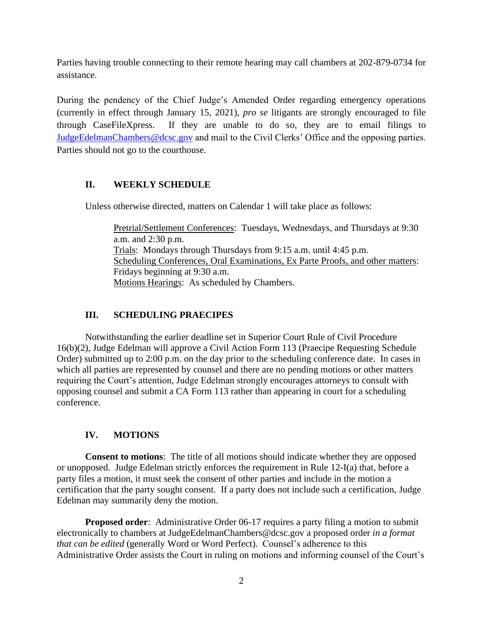Parties having trouble connecting to their remote hearing may call chambers at 202-879-0734 for assistance.

During the pendency of the Chief Judge's Amended Order regarding emergency operations (currently in effect through January 15, 2021), *pro se* litigants are strongly encouraged to file through CaseFileXpress. If they are unable to do so, they are to email filings to [JudgeEdelmanChambers@dcsc.gov](mailto:JudgeEdelmanChambers@dcsc.gov) and mail to the Civil Clerks' Office and the opposing parties. Parties should not go to the courthouse.

# **II. WEEKLY SCHEDULE**

Unless otherwise directed, matters on Calendar 1 will take place as follows:

Pretrial/Settlement Conferences: Tuesdays, Wednesdays, and Thursdays at 9:30 a.m. and 2:30 p.m. Trials: Mondays through Thursdays from 9:15 a.m. until 4:45 p.m. Scheduling Conferences, Oral Examinations, Ex Parte Proofs, and other matters: Fridays beginning at 9:30 a.m. Motions Hearings: As scheduled by Chambers.

#### **III. SCHEDULING PRAECIPES**

Notwithstanding the earlier deadline set in Superior Court Rule of Civil Procedure 16(b)(2), Judge Edelman will approve a Civil Action Form 113 (Praecipe Requesting Schedule Order) submitted up to 2:00 p.m. on the day prior to the scheduling conference date. In cases in which all parties are represented by counsel and there are no pending motions or other matters requiring the Court's attention, Judge Edelman strongly encourages attorneys to consult with opposing counsel and submit a CA Form 113 rather than appearing in court for a scheduling conference.

# **IV. MOTIONS**

**Consent to motions**: The title of all motions should indicate whether they are opposed or unopposed. Judge Edelman strictly enforces the requirement in Rule 12-I(a) that, before a party files a motion, it must seek the consent of other parties and include in the motion a certification that the party sought consent. If a party does not include such a certification, Judge Edelman may summarily deny the motion.

**Proposed order:** Administrative Order 06-17 requires a party filing a motion to submit electronically to chambers at JudgeEdelmanChambers@dcsc.gov a proposed order *in a format that can be edited* (generally Word or Word Perfect). Counsel's adherence to this Administrative Order assists the Court in ruling on motions and informing counsel of the Court's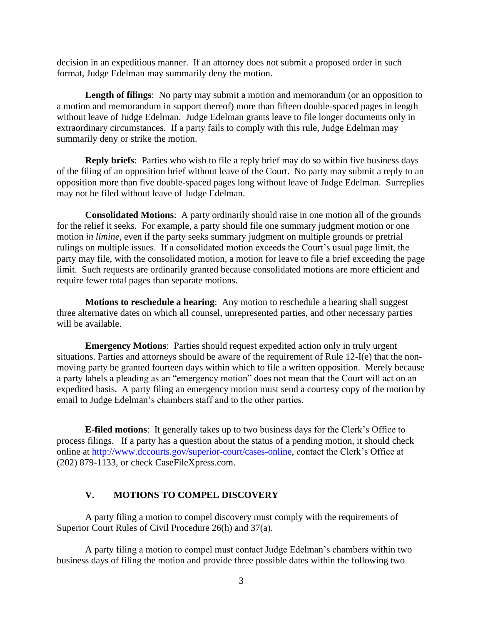decision in an expeditious manner. If an attorney does not submit a proposed order in such format, Judge Edelman may summarily deny the motion.

**Length of filings**: No party may submit a motion and memorandum (or an opposition to a motion and memorandum in support thereof) more than fifteen double-spaced pages in length without leave of Judge Edelman. Judge Edelman grants leave to file longer documents only in extraordinary circumstances. If a party fails to comply with this rule, Judge Edelman may summarily deny or strike the motion.

**Reply briefs**: Parties who wish to file a reply brief may do so within five business days of the filing of an opposition brief without leave of the Court. No party may submit a reply to an opposition more than five double-spaced pages long without leave of Judge Edelman. Surreplies may not be filed without leave of Judge Edelman.

**Consolidated Motions**: A party ordinarily should raise in one motion all of the grounds for the relief it seeks. For example, a party should file one summary judgment motion or one motion *in limine*, even if the party seeks summary judgment on multiple grounds or pretrial rulings on multiple issues. If a consolidated motion exceeds the Court's usual page limit, the party may file, with the consolidated motion, a motion for leave to file a brief exceeding the page limit. Such requests are ordinarily granted because consolidated motions are more efficient and require fewer total pages than separate motions.

**Motions to reschedule a hearing**: Any motion to reschedule a hearing shall suggest three alternative dates on which all counsel, unrepresented parties, and other necessary parties will be available.

**Emergency Motions**: Parties should request expedited action only in truly urgent situations. Parties and attorneys should be aware of the requirement of Rule 12-I(e) that the nonmoving party be granted fourteen days within which to file a written opposition. Merely because a party labels a pleading as an "emergency motion" does not mean that the Court will act on an expedited basis. A party filing an emergency motion must send a courtesy copy of the motion by email to Judge Edelman's chambers staff and to the other parties.

**E-filed motions**: It generally takes up to two business days for the Clerk's Office to process filings. If a party has a question about the status of a pending motion, it should check online at [http://www.dccourts.gov/superior-court/cases-online,](http://www.dccourts.gov/superior-court/cases-online) contact the Clerk's Office at (202) 879-1133, or check CaseFileXpress.com.

#### **V. MOTIONS TO COMPEL DISCOVERY**

A party filing a motion to compel discovery must comply with the requirements of Superior Court Rules of Civil Procedure 26(h) and 37(a).

A party filing a motion to compel must contact Judge Edelman's chambers within two business days of filing the motion and provide three possible dates within the following two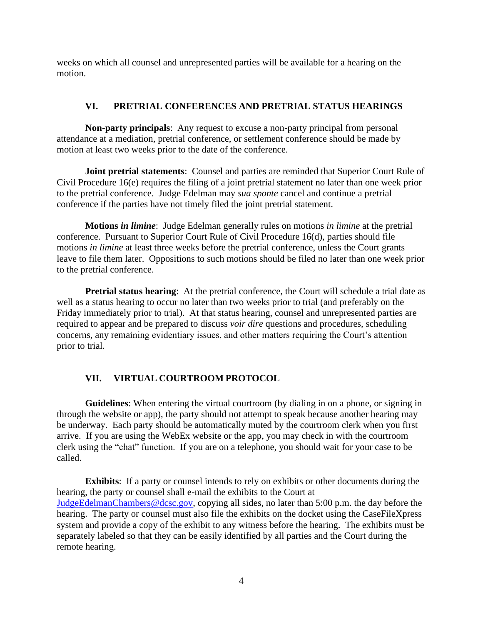weeks on which all counsel and unrepresented parties will be available for a hearing on the motion.

# **VI. PRETRIAL CONFERENCES AND PRETRIAL STATUS HEARINGS**

**Non-party principals**: Any request to excuse a non-party principal from personal attendance at a mediation, pretrial conference, or settlement conference should be made by motion at least two weeks prior to the date of the conference.

**Joint pretrial statements**: Counsel and parties are reminded that Superior Court Rule of Civil Procedure 16(e) requires the filing of a joint pretrial statement no later than one week prior to the pretrial conference. Judge Edelman may *sua sponte* cancel and continue a pretrial conference if the parties have not timely filed the joint pretrial statement.

**Motions** *in limine*: Judge Edelman generally rules on motions *in limine* at the pretrial conference. Pursuant to Superior Court Rule of Civil Procedure 16(d), parties should file motions *in limine* at least three weeks before the pretrial conference, unless the Court grants leave to file them later. Oppositions to such motions should be filed no later than one week prior to the pretrial conference.

**Pretrial status hearing:** At the pretrial conference, the Court will schedule a trial date as well as a status hearing to occur no later than two weeks prior to trial (and preferably on the Friday immediately prior to trial). At that status hearing, counsel and unrepresented parties are required to appear and be prepared to discuss *voir dire* questions and procedures, scheduling concerns, any remaining evidentiary issues, and other matters requiring the Court's attention prior to trial.

# **VII. VIRTUAL COURTROOM PROTOCOL**

**Guidelines**: When entering the virtual courtroom (by dialing in on a phone, or signing in through the website or app), the party should not attempt to speak because another hearing may be underway. Each party should be automatically muted by the courtroom clerk when you first arrive. If you are using the WebEx website or the app, you may check in with the courtroom clerk using the "chat" function. If you are on a telephone, you should wait for your case to be called.

**Exhibits**: If a party or counsel intends to rely on exhibits or other documents during the hearing, the party or counsel shall e-mail the exhibits to the Court at [JudgeEdelmanChambers@dcsc.gov,](mailto:JudgeEdelmanChambers@dcsc.gov) copying all sides, no later than 5:00 p.m. the day before the hearing. The party or counsel must also file the exhibits on the docket using the CaseFileXpress system and provide a copy of the exhibit to any witness before the hearing. The exhibits must be separately labeled so that they can be easily identified by all parties and the Court during the remote hearing.